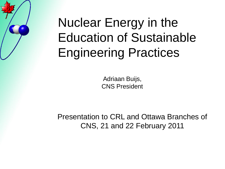# Nuclear Energy in the Education of Sustainable Engineering Practices

Adriaan Buijs, CNS President

Presentation to CRL and Ottawa Branches of CNS, 21 and 22 February 2011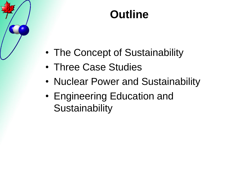#### **Outline**

- The Concept of Sustainability
- Three Case Studies
- Nuclear Power and Sustainability
- Engineering Education and **Sustainability**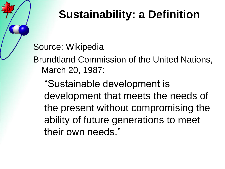## **Sustainability: a Definition**

Source: Wikipedia

Brundtland Commission of the United Nations, March 20, 1987:

"Sustainable development is development that meets the needs of the present without compromising the ability of future generations to meet their own needs."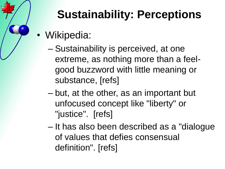

# **Sustainability: Perceptions**

- Wikipedia:
	- Sustainability is perceived, at one extreme, as nothing more than a feelgood buzzword with little meaning or substance, [refs]
	- but, at the other, as an important but unfocused concept like "liberty" or "justice". [refs]
	- It has also been described as a "dialogue of values that defies consensual definition". [refs]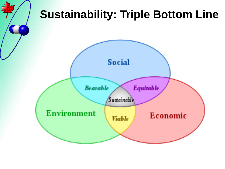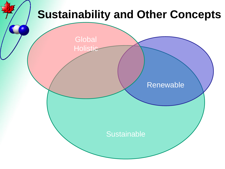#### **Sustainability and Other Concepts**

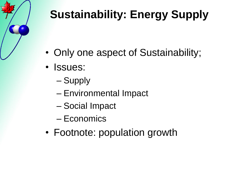

# **Sustainability: Energy Supply**

- Only one aspect of Sustainability;
- Issues:
	- Supply
	- Environmental Impact
	- Social Impact
	- Economics
- Footnote: population growth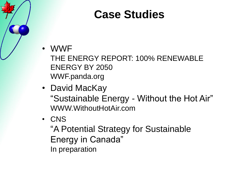#### **Case Studies**

#### • WWF

THE ENERGY REPORT: 100% RENEWABLE ENERGY BY 2050 WWF.panda.org

- David MacKay "Sustainable Energy - Without the Hot Air" WWW.WithoutHotAir.com
- CNS

"A Potential Strategy for Sustainable Energy in Canada" In preparation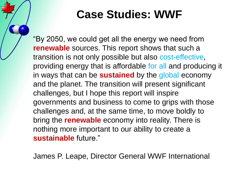#### **Case Studies: WWF**

"By 2050, we could get all the energy we need from **renewable** sources. This report shows that such a transition is not only possible but also cost-effective, providing energy that is affordable for all and producing it in ways that can be **sustained** by the global economy and the planet. The transition will present significant challenges, but I hope this report will inspire governments and business to come to grips with those challenges and, at the same time, to move boldly to bring the **renewable** economy into reality. There is nothing more important to our ability to create a **sustainable** future."

James P. Leape, Director General WWF International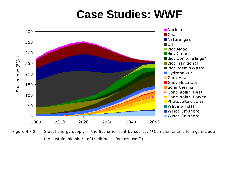#### **Case Studies: WWF**



Figure  $4 - 2$ Global energy supply in the Scenario, split by source. (\*Complementary fellings include the sustainable share of traditional biomass use. $^{25}$ )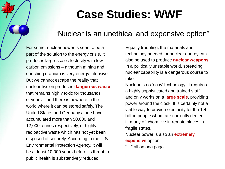#### **Case Studies: WWF**

#### "Nuclear is an unethical and expensive option"

For some, nuclear power is seen to be a part of the solution to the energy crisis. It produces large-scale electricity with low carbon emissions – although mining and enriching uranium is very energy intensive. But we cannot escape the reality that nuclear fission produces **dangerous waste** that remains highly toxic for thousands of years – and there is nowhere in the world where it can be stored safely. The United States and Germany alone have accumulated more than 50,000 and 12,000 tonnes respectively, of highly radioactive waste which has not yet been disposed of securely. According to the U.S. Environmental Protection Agency, it will be at least 10,000 years before its threat to public health is substantively reduced.

Equally troubling, the materials and technology needed for nuclear energy can also be used to produce **nuclear weapons**. In a politically unstable world, spreading nuclear capability is a dangerous course to take.

Nuclear is no "easy" technology. It requires a highly sophisticated and trained staff, and only works on a **large scale**, providing power around the clock. It is certainly not a viable way to provide electricity for the 1.4 billion people whom are currently denied it, many of whom live in remote places in fragile states.

Nuclear power is also an **extremely expensive** option.

"…" all on one page.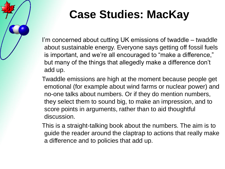

I'm concerned about cutting UK emissions of twaddle – twaddle about sustainable energy. Everyone says getting off fossil fuels is important, and we're all encouraged to "make a difference," but many of the things that allegedly make a difference don"t add up.

Twaddle emissions are high at the moment because people get emotional (for example about wind farms or nuclear power) and no-one talks about numbers. Or if they do mention numbers, they select them to sound big, to make an impression, and to score points in arguments, rather than to aid thoughtful discussion.

This is a straight-talking book about the numbers. The aim is to guide the reader around the claptrap to actions that really make a difference and to policies that add up.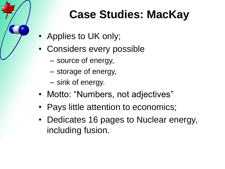- Applies to UK only;
- Considers every possible
	- source of energy,
	- storage of energy,
	- sink of energy.
- Motto: "Numbers, not adjectives"
- Pays little attention to economics;
- Dedicates 16 pages to Nuclear energy, including fusion.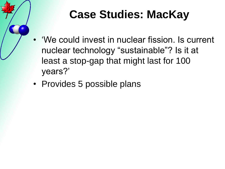

- "We could invest in nuclear fission. Is current nuclear technology "sustainable"? Is it at least a stop-gap that might last for 100 years?"
- Provides 5 possible plans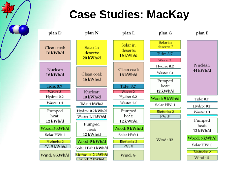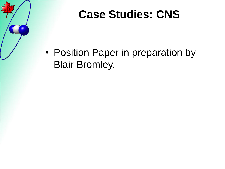

# **Case Studies: CNS**

• Position Paper in preparation by Blair Bromley.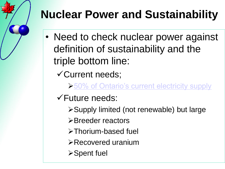- Need to check nuclear power against definition of sustainability and the triple bottom line:
	- Current needs;
		- ▶50% of Ontario's current electricity supply
	- Future needs:
		- Supply limited (not renewable) but large
		- **≻Breeder reactors**
		- >Thorium-based fuel
		- Recovered uranium
		- **≻Spent fuel**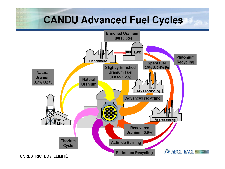#### **CANDU Advanced Fuel Cycles**

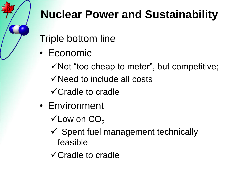

- Triple bottom line
- Economic
	- $\checkmark$  Not "too cheap to meter", but competitive;
	- Need to include all costs
	- Cradle to cradle
- Environment
	- $\checkmark$  Low on  $CO<sub>2</sub>$
	- $\checkmark$  Spent fuel management technically feasible
	- Cradle to cradle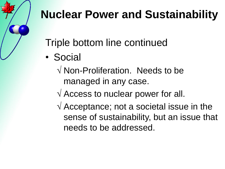Triple bottom line continued

- Social
	- √ Non-Proliferation. Needs to be managed in any case.
	- $\sqrt{ }$  Access to nuclear power for all.
	- $\sqrt{1}$  Acceptance; not a societal issue in the sense of sustainability, but an issue that needs to be addressed.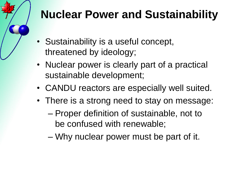- Sustainability is a useful concept, threatened by ideology;
- Nuclear power is clearly part of a practical sustainable development;
- CANDU reactors are especially well suited.
- There is a strong need to stay on message:
	- Proper definition of sustainable, not to be confused with renewable;
	- Why nuclear power must be part of it.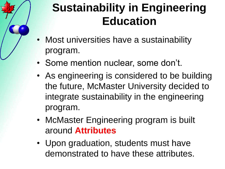

- Most universities have a sustainability program.
- Some mention nuclear, some don't.
- As engineering is considered to be building the future, McMaster University decided to integrate sustainability in the engineering program.
- McMaster Engineering program is built around **Attributes**
- Upon graduation, students must have demonstrated to have these attributes.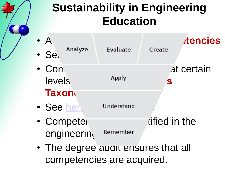## **Sustainability in Engineering Education**

- A<sup>ttributes</sup> are divided in the set of  $\mathcal{A}$ • Secalled Secalled Secalled Secalled Secalled Secale Secale 2013 • Competencies and certain levels, and the second of the second second second second second second second second second second second second s **Taxon** • See [here](Bloom.pdf) Understand • Competencies are identified in the engineering Remember • The degree audit ensures that all
	- competencies are acquired.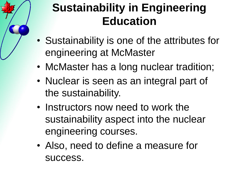# **Sustainability in Engineering Education**

- Sustainability is one of the attributes for engineering at McMaster
- McMaster has a long nuclear tradition;
- Nuclear is seen as an integral part of the sustainability.
- Instructors now need to work the sustainability aspect into the nuclear engineering courses.
- Also, need to define a measure for success.